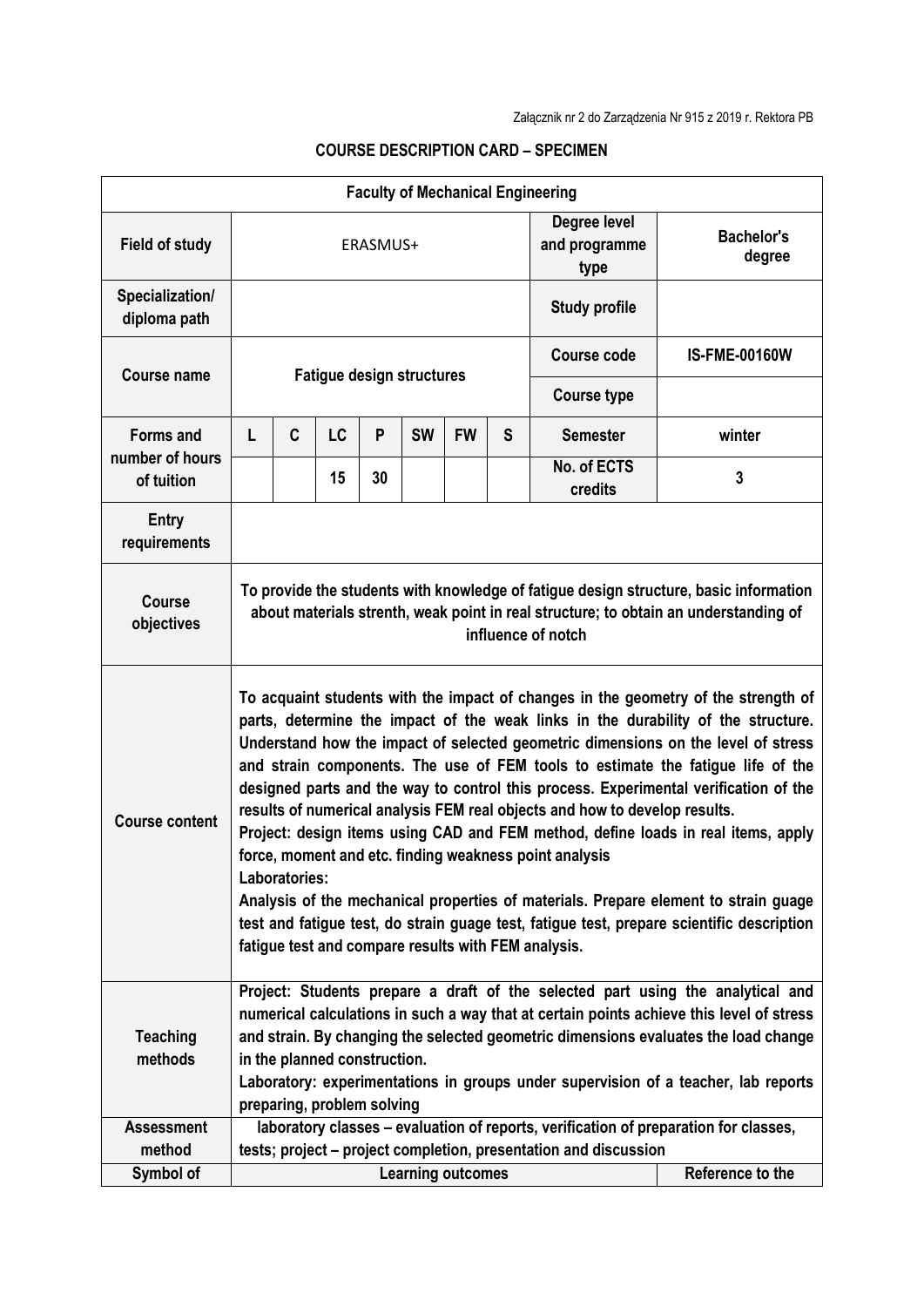| <b>Faculty of Mechanical Engineering</b>          |                                                                                                                                                                                                                                                                                                                                                                                                                                                                                                                                                                                                                                                                                                                                                                                                                                                                                                                                  |                                              |           |    |           |           |                                       |                             |                      |
|---------------------------------------------------|----------------------------------------------------------------------------------------------------------------------------------------------------------------------------------------------------------------------------------------------------------------------------------------------------------------------------------------------------------------------------------------------------------------------------------------------------------------------------------------------------------------------------------------------------------------------------------------------------------------------------------------------------------------------------------------------------------------------------------------------------------------------------------------------------------------------------------------------------------------------------------------------------------------------------------|----------------------------------------------|-----------|----|-----------|-----------|---------------------------------------|-----------------------------|----------------------|
| <b>Field of study</b>                             | ERASMUS+                                                                                                                                                                                                                                                                                                                                                                                                                                                                                                                                                                                                                                                                                                                                                                                                                                                                                                                         |                                              |           |    |           |           | Degree level<br>and programme<br>type | <b>Bachelor's</b><br>degree |                      |
| Specialization/<br>diploma path                   |                                                                                                                                                                                                                                                                                                                                                                                                                                                                                                                                                                                                                                                                                                                                                                                                                                                                                                                                  |                                              |           |    |           |           |                                       | <b>Study profile</b>        |                      |
| Course name                                       | <b>Fatigue design structures</b>                                                                                                                                                                                                                                                                                                                                                                                                                                                                                                                                                                                                                                                                                                                                                                                                                                                                                                 |                                              |           |    |           |           |                                       | <b>Course code</b>          | <b>IS-FME-00160W</b> |
|                                                   |                                                                                                                                                                                                                                                                                                                                                                                                                                                                                                                                                                                                                                                                                                                                                                                                                                                                                                                                  |                                              |           |    |           |           |                                       | <b>Course type</b>          |                      |
| <b>Forms and</b><br>number of hours<br>of tuition | L                                                                                                                                                                                                                                                                                                                                                                                                                                                                                                                                                                                                                                                                                                                                                                                                                                                                                                                                | C                                            | <b>LC</b> | P  | <b>SW</b> | <b>FW</b> | S                                     | <b>Semester</b>             | winter               |
|                                                   |                                                                                                                                                                                                                                                                                                                                                                                                                                                                                                                                                                                                                                                                                                                                                                                                                                                                                                                                  |                                              | 15        | 30 |           |           |                                       | No. of ECTS<br>credits      | 3                    |
| Entry<br>requirements                             |                                                                                                                                                                                                                                                                                                                                                                                                                                                                                                                                                                                                                                                                                                                                                                                                                                                                                                                                  |                                              |           |    |           |           |                                       |                             |                      |
| <b>Course</b><br>objectives                       | To provide the students with knowledge of fatigue design structure, basic information<br>about materials strenth, weak point in real structure; to obtain an understanding of<br>influence of notch                                                                                                                                                                                                                                                                                                                                                                                                                                                                                                                                                                                                                                                                                                                              |                                              |           |    |           |           |                                       |                             |                      |
| <b>Course content</b>                             | To acquaint students with the impact of changes in the geometry of the strength of<br>parts, determine the impact of the weak links in the durability of the structure.<br>Understand how the impact of selected geometric dimensions on the level of stress<br>and strain components. The use of FEM tools to estimate the fatigue life of the<br>designed parts and the way to control this process. Experimental verification of the<br>results of numerical analysis FEM real objects and how to develop results.<br>Project: design items using CAD and FEM method, define loads in real items, apply<br>force, moment and etc. finding weakness point analysis<br>Laboratories:<br>Analysis of the mechanical properties of materials. Prepare element to strain guage<br>test and fatigue test, do strain guage test, fatigue test, prepare scientific description<br>fatigue test and compare results with FEM analysis. |                                              |           |    |           |           |                                       |                             |                      |
| <b>Teaching</b><br>methods                        | Project: Students prepare a draft of the selected part using the analytical and<br>numerical calculations in such a way that at certain points achieve this level of stress<br>and strain. By changing the selected geometric dimensions evaluates the load change<br>in the planned construction.<br>Laboratory: experimentations in groups under supervision of a teacher, lab reports<br>preparing, problem solving                                                                                                                                                                                                                                                                                                                                                                                                                                                                                                           |                                              |           |    |           |           |                                       |                             |                      |
| <b>Assessment</b><br>method                       | laboratory classes - evaluation of reports, verification of preparation for classes,<br>tests; project – project completion, presentation and discussion                                                                                                                                                                                                                                                                                                                                                                                                                                                                                                                                                                                                                                                                                                                                                                         |                                              |           |    |           |           |                                       |                             |                      |
| Symbol of                                         |                                                                                                                                                                                                                                                                                                                                                                                                                                                                                                                                                                                                                                                                                                                                                                                                                                                                                                                                  | Reference to the<br><b>Learning outcomes</b> |           |    |           |           |                                       |                             |                      |

## **COURSE DESCRIPTION CARD – SPECIMEN**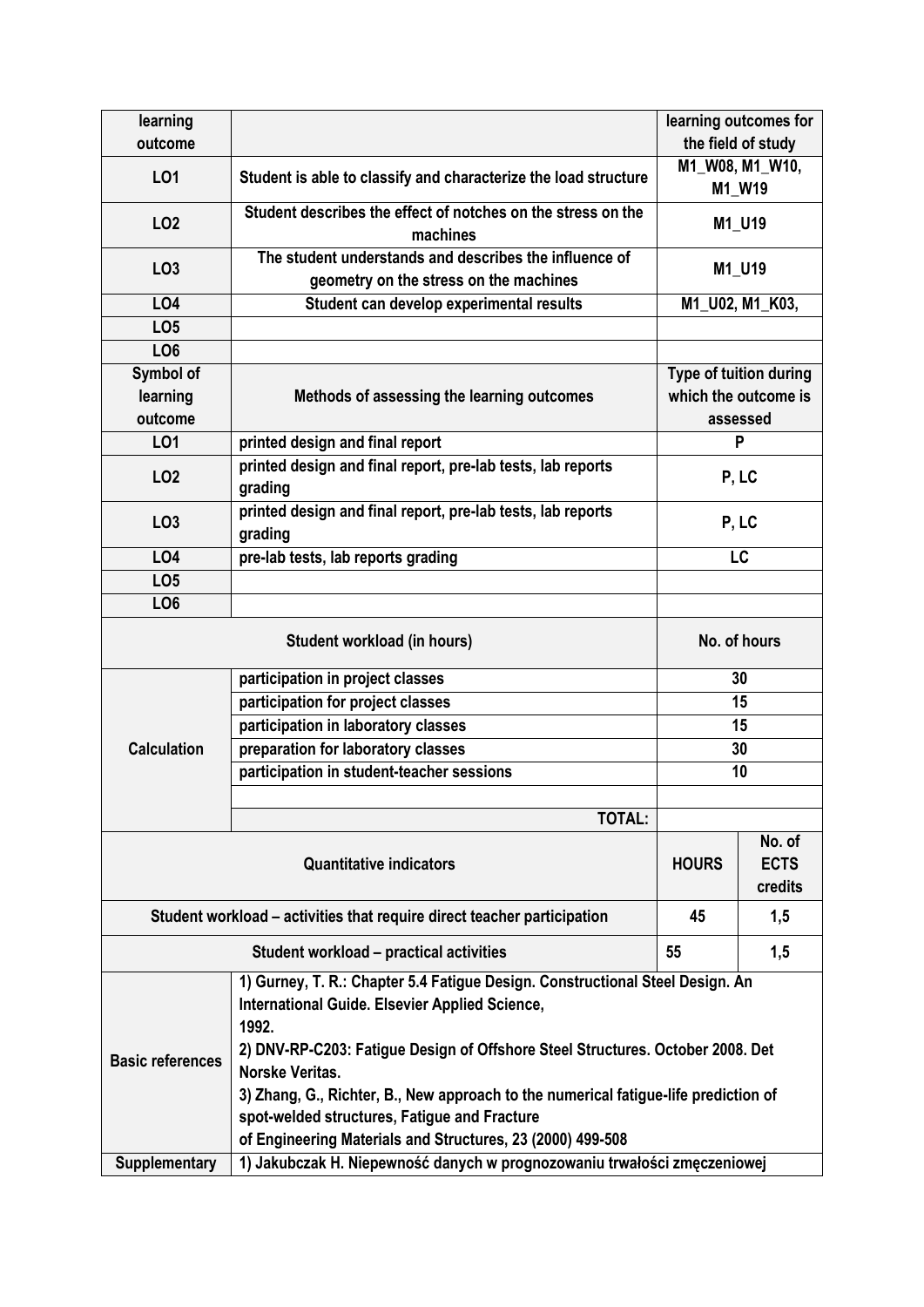| learning                       |                                                                                                                                                                                                                                                                                                                                                                                                                                                           |                                                | learning outcomes for            |  |  |  |  |
|--------------------------------|-----------------------------------------------------------------------------------------------------------------------------------------------------------------------------------------------------------------------------------------------------------------------------------------------------------------------------------------------------------------------------------------------------------------------------------------------------------|------------------------------------------------|----------------------------------|--|--|--|--|
| outcome                        |                                                                                                                                                                                                                                                                                                                                                                                                                                                           |                                                | the field of study               |  |  |  |  |
| L01                            | Student is able to classify and characterize the load structure                                                                                                                                                                                                                                                                                                                                                                                           | M1_W08, M1_W10,                                |                                  |  |  |  |  |
|                                |                                                                                                                                                                                                                                                                                                                                                                                                                                                           |                                                | M1_W19                           |  |  |  |  |
| LO <sub>2</sub>                | Student describes the effect of notches on the stress on the<br>machines                                                                                                                                                                                                                                                                                                                                                                                  |                                                | M1_U19                           |  |  |  |  |
| LO <sub>3</sub>                | The student understands and describes the influence of<br>geometry on the stress on the machines                                                                                                                                                                                                                                                                                                                                                          |                                                | M1_U19                           |  |  |  |  |
| <b>LO4</b>                     | Student can develop experimental results                                                                                                                                                                                                                                                                                                                                                                                                                  |                                                | M1_U02, M1_K03,                  |  |  |  |  |
| LO <sub>5</sub>                |                                                                                                                                                                                                                                                                                                                                                                                                                                                           |                                                |                                  |  |  |  |  |
| LO <sub>6</sub>                |                                                                                                                                                                                                                                                                                                                                                                                                                                                           |                                                |                                  |  |  |  |  |
| Symbol of                      |                                                                                                                                                                                                                                                                                                                                                                                                                                                           | Type of tuition during<br>which the outcome is |                                  |  |  |  |  |
| learning                       | Methods of assessing the learning outcomes                                                                                                                                                                                                                                                                                                                                                                                                                |                                                |                                  |  |  |  |  |
| outcome                        |                                                                                                                                                                                                                                                                                                                                                                                                                                                           | assessed                                       |                                  |  |  |  |  |
| LO1                            | printed design and final report                                                                                                                                                                                                                                                                                                                                                                                                                           | P                                              |                                  |  |  |  |  |
| LO <sub>2</sub>                | printed design and final report, pre-lab tests, lab reports<br>grading                                                                                                                                                                                                                                                                                                                                                                                    | P, LC                                          |                                  |  |  |  |  |
| LO <sub>3</sub>                | printed design and final report, pre-lab tests, lab reports<br>grading                                                                                                                                                                                                                                                                                                                                                                                    | P, LC                                          |                                  |  |  |  |  |
| <b>LO4</b>                     | pre-lab tests, lab reports grading                                                                                                                                                                                                                                                                                                                                                                                                                        | LC                                             |                                  |  |  |  |  |
| LO <sub>5</sub>                |                                                                                                                                                                                                                                                                                                                                                                                                                                                           |                                                |                                  |  |  |  |  |
| LO <sub>6</sub>                |                                                                                                                                                                                                                                                                                                                                                                                                                                                           |                                                |                                  |  |  |  |  |
|                                | No. of hours                                                                                                                                                                                                                                                                                                                                                                                                                                              |                                                |                                  |  |  |  |  |
|                                | participation in project classes                                                                                                                                                                                                                                                                                                                                                                                                                          | 30                                             |                                  |  |  |  |  |
|                                | participation for project classes                                                                                                                                                                                                                                                                                                                                                                                                                         | 15                                             |                                  |  |  |  |  |
|                                | participation in laboratory classes                                                                                                                                                                                                                                                                                                                                                                                                                       | 15                                             |                                  |  |  |  |  |
| <b>Calculation</b>             | preparation for laboratory classes                                                                                                                                                                                                                                                                                                                                                                                                                        | 30                                             |                                  |  |  |  |  |
|                                | participation in student-teacher sessions                                                                                                                                                                                                                                                                                                                                                                                                                 |                                                | 10                               |  |  |  |  |
|                                |                                                                                                                                                                                                                                                                                                                                                                                                                                                           |                                                |                                  |  |  |  |  |
|                                | <b>TOTAL:</b>                                                                                                                                                                                                                                                                                                                                                                                                                                             |                                                |                                  |  |  |  |  |
| <b>Quantitative indicators</b> |                                                                                                                                                                                                                                                                                                                                                                                                                                                           |                                                | No. of<br><b>ECTS</b><br>credits |  |  |  |  |
|                                | Student workload - activities that require direct teacher participation                                                                                                                                                                                                                                                                                                                                                                                   | 45                                             | 1,5                              |  |  |  |  |
|                                | Student workload - practical activities                                                                                                                                                                                                                                                                                                                                                                                                                   | 55                                             | 1,5                              |  |  |  |  |
| <b>Basic references</b>        | 1) Gurney, T. R.: Chapter 5.4 Fatigue Design. Constructional Steel Design. An<br>International Guide. Elsevier Applied Science,<br>1992.<br>2) DNV-RP-C203: Fatigue Design of Offshore Steel Structures. October 2008. Det<br><b>Norske Veritas.</b><br>3) Zhang, G., Richter, B., New approach to the numerical fatigue-life prediction of<br>spot-welded structures, Fatigue and Fracture<br>of Engineering Materials and Structures, 23 (2000) 499-508 |                                                |                                  |  |  |  |  |
| <b>Supplementary</b>           | 1) Jakubczak H. Niepewność danych w prognozowaniu trwałości zmęczeniowej                                                                                                                                                                                                                                                                                                                                                                                  |                                                |                                  |  |  |  |  |